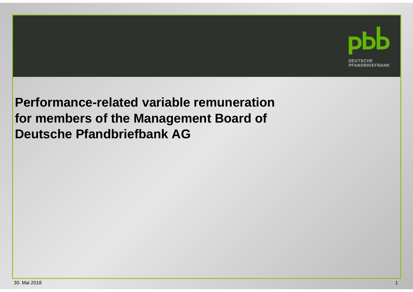

**Performance-related variable remuneration for members of the Management Board ofDeutsche Pfandbriefbank AG**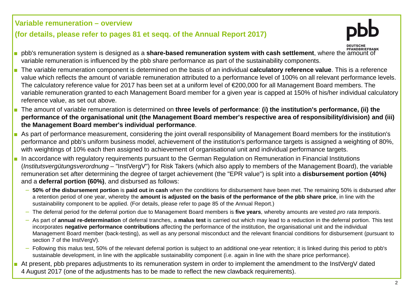## **Variable remuneration – overview**

## **(for details, please refer to pages 81 et seqq. of the Annual Report 2017)**



- PFANDBRIEFBANK pbb's remuneration system is designed as a **share-based remuneration system with cash settlement**, where the amount of variable remuneration is influenced by the pbb share performance as part of the sustainability components.
- The variable remuneration component is determined on the basis of an individual **calculatory reference value**. This is a reference value which reflects the amount of variable remuneration attributed to a performance level of 100% on all relevant performance levels. The calculatory reference value for 2017 has been set at a uniform level of €200,000 for all Management Board members. The variable remuneration granted to each Management Board member for a given year is capped at 150% of his/her individual calculatory reference value, as set out above.
- The amount of variable remuneration is determined on **three levels of performance**: **(i) the institution's performance, (ii) the performance of the organisational unit (the Management Board member's respective area of responsibility/division) and (iii) the Management Board member's individual performance**.
- As part of performance measurement, considering the joint overall responsibility of Management Board members for the institution's performance and pbb's uniform business model, achievement of the institution's performance targets is assigned a weighting of 80%, with weightings of 10% each then assigned to achievement of organisational unit and individual performance targets.
- ■ In accordance with regulatory requirements pursuant to the German Regulation on Remuneration in Financial Institutions (Institutsvergütungsverordnung – "InstVergV") for Risk Takers (which also apply to members of the Management Board), the variable remuneration set after determining the degree of target achievement (the "EPR value") is split into a **disbursement portion (40%)**and a **deferral portion (60%)**, and disbursed as follows:
	- − **50% of the disbursement portion** is **paid out in cash** when the conditions for disbursement have been met. The remaining 50% is disbursed after a retention period of one year, whereby the **amount is adjusted on the basis of the performance of the pbb share price**, in line with the sustainability component to be applied. (For details, please refer to page 85 of the Annual Report.)
	- −The deferral period for the deferral portion due to Management Board members is **five years**, whereby amounts are vested pro rata temporis.
	- − As part of **annual re-determination** of deferral tranches, a **malus test** is carried out which may lead to a reduction in the deferral portion. This test incorporates **negative performance contributions** affecting the performance of the institution, the organisational unit and the individual Management Board member (back-testing), as well as any personal misconduct and the relevant financial conditions for disbursement (pursuant to section 7 of the InstVergV).
	- − Following this malus test, 50% of the relevant deferral portion is subject to an additional one-year retention; it is linked during this period to pbb's sustainable development, in line with the applicable sustainability component (i.e. again in line with the share price performance).
- ■ At present, pbb prepares adjustments to its remuneration system in order to implement the amendment to the InstVergV dated <sup>4</sup> August 2017 (one of the adjustments has to be made to reflect the new clawback requirements).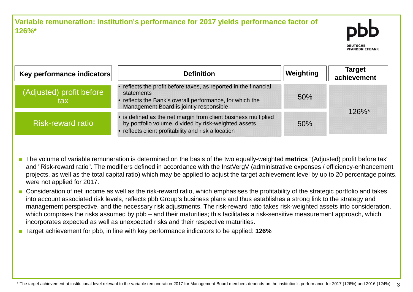

| Key performance indicators      | <b>Definition</b>                                                                                                                                                                   | Weighting | <b>Target</b><br>achievement |
|---------------------------------|-------------------------------------------------------------------------------------------------------------------------------------------------------------------------------------|-----------|------------------------------|
| (Adjusted) profit before<br>tax | • reflects the profit before taxes, as reported in the financial<br>statements<br>reflects the Bank's overall performance, for which the<br>Management Board is jointly responsible | 50%       | $126\%$ *                    |
| <b>Risk-reward ratio</b>        | • is defined as the net margin from client business multiplied<br>by portfolio volume, divided by risk-weighted assets<br>reflects client profitability and risk allocation         | 50%       |                              |

■ The volume of variable remuneration is determined on the basis of the two equally-weighted **metrics** "(Adjusted) profit before tax" and "Risk-reward ratio". The modifiers defined in accordance with the InstVergV (administrative expenses / efficiency-enhancement projects, as well as the total capital ratio) which may be applied to adjust the target achievement level by up to 20 percentage points, were not applied for 2017.

- Consideration of net income as well as the risk-reward ratio, which emphasises the profitability of the strategic portfolio and takes into account associated risk levels, reflects pbb Group's business plans and thus establishes a strong link to the strategy and management perspective, and the necessary risk adjustments. The risk-reward ratio takes risk-weighted assets into consideration,which comprises the risks assumed by pbb – and their maturities; this facilitates a risk-sensitive measurement approach, which incorporates expected as well as unexpected risks and their respective maturities.
- Target achievement for pbb, in line with key performance indicators to be applied: **126%**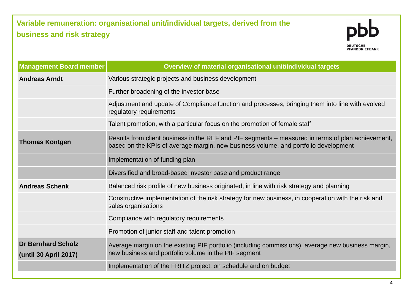## **Variable remuneration: organisational unit/individual targets, derived from the business and risk strategy**



| Management Board member                            | Overview of material organisational unit/individual targets                                                                                                                              |  |
|----------------------------------------------------|------------------------------------------------------------------------------------------------------------------------------------------------------------------------------------------|--|
| <b>Andreas Arndt</b>                               | Various strategic projects and business development                                                                                                                                      |  |
|                                                    | Further broadening of the investor base                                                                                                                                                  |  |
|                                                    | Adjustment and update of Compliance function and processes, bringing them into line with evolved<br>regulatory requirements                                                              |  |
|                                                    | Talent promotion, with a particular focus on the promotion of female staff                                                                                                               |  |
| <b>Thomas Köntgen</b>                              | Results from client business in the REF and PIF segments – measured in terms of plan achievement,<br>based on the KPIs of average margin, new business volume, and portfolio development |  |
|                                                    | Implementation of funding plan                                                                                                                                                           |  |
|                                                    | Diversified and broad-based investor base and product range                                                                                                                              |  |
| <b>Andreas Schenk</b>                              | Balanced risk profile of new business originated, in line with risk strategy and planning                                                                                                |  |
|                                                    | Constructive implementation of the risk strategy for new business, in cooperation with the risk and<br>sales organisations                                                               |  |
|                                                    | Compliance with regulatory requirements                                                                                                                                                  |  |
|                                                    | Promotion of junior staff and talent promotion                                                                                                                                           |  |
| <b>Dr Bernhard Scholz</b><br>(until 30 April 2017) | Average margin on the existing PIF portfolio (including commissions), average new business margin,<br>new business and portfolio volume in the PIF segment                               |  |
|                                                    | Implementation of the FRITZ project, on schedule and on budget                                                                                                                           |  |